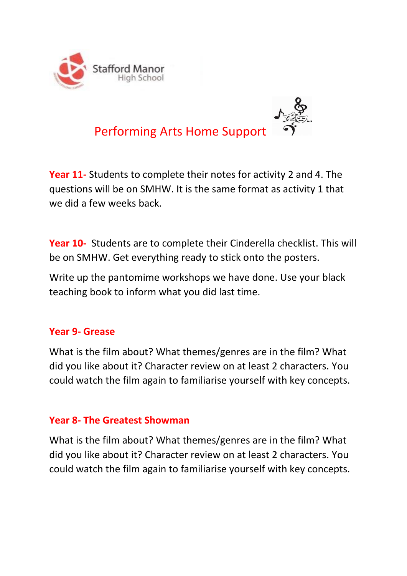



**Year 11-** Students to complete their notes for activity 2 and 4. The questions will be on SMHW. It is the same format as activity 1 that we did a few weeks back.

**Year 10-** Students are to complete their Cinderella checklist. This will be on SMHW. Get everything ready to stick onto the posters.

Write up the pantomime workshops we have done. Use your black teaching book to inform what you did last time.

## **Year 9- Grease**

What is the film about? What themes/genres are in the film? What did you like about it? Character review on at least 2 characters. You could watch the film again to familiarise yourself with key concepts.

#### **Year 8- The Greatest Showman**

What is the film about? What themes/genres are in the film? What did you like about it? Character review on at least 2 characters. You could watch the film again to familiarise yourself with key concepts.